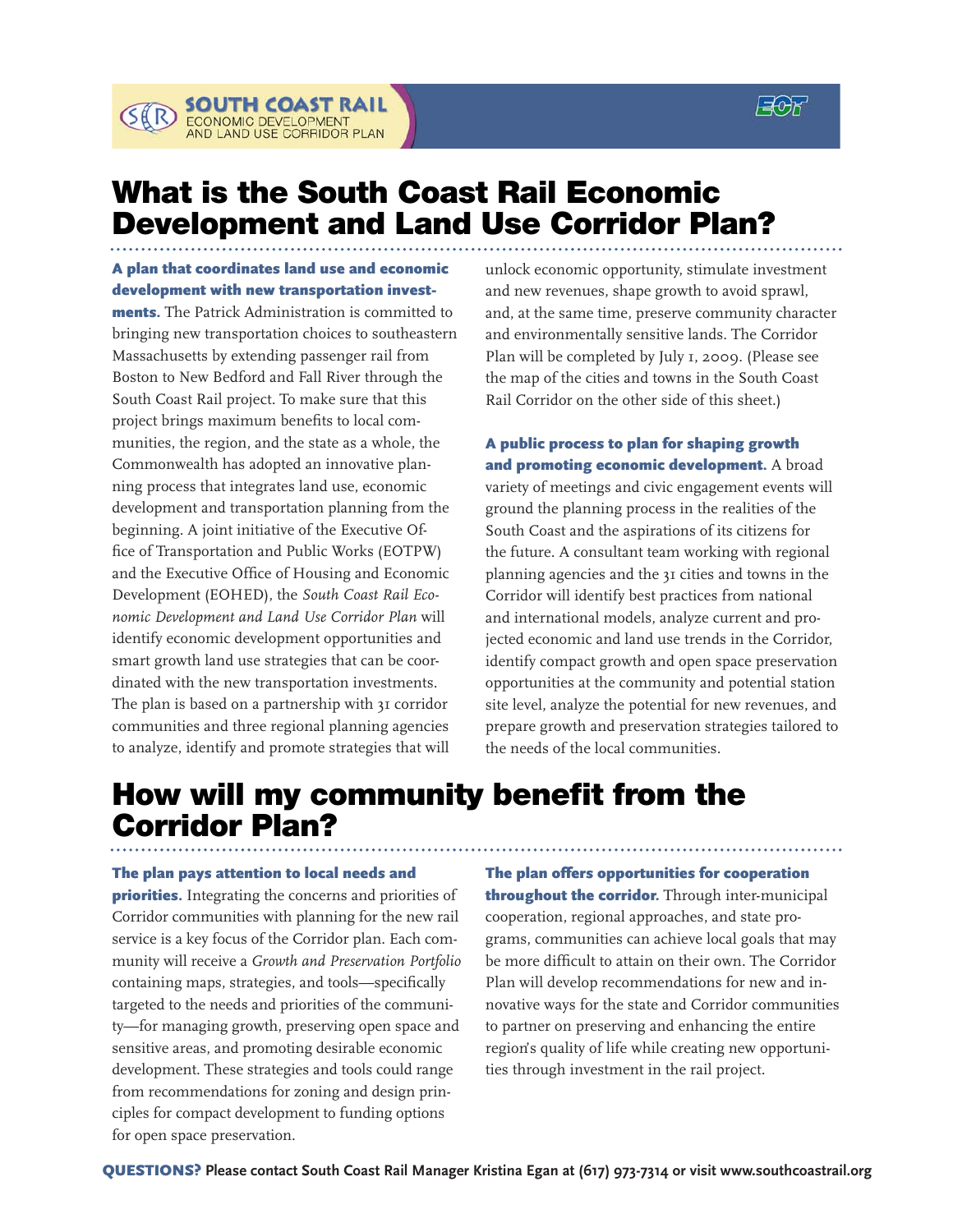$\Xi$ of



A plan that coordinates land use and economic development with new transportation invest-

**SOUTH COAST RAIL**<br>ECONOMIC DEVELOPMENT<br>AND LAND USE CORRIDOR PLAN

ments. The Patrick Administration is committed to bringing new transportation choices to southeastern Massachusetts by extending passenger rail from Boston to New Bedford and Fall River through the South Coast Rail project. To make sure that this project brings maximum benefits to local communities, the region, and the state as a whole, the Commonwealth has adopted an innovative planning process that integrates land use, economic development and transportation planning from the beginning. A joint initiative of the Executive Office of Transportation and Public Works (EOTPW) and the Executive Office of Housing and Economic Development (EOHED), the *South Coast Rail Economic Development and Land Use Corridor Plan* will identify economic development opportunities and smart growth land use strategies that can be coordinated with the new transportation investments. The plan is based on a partnership with 31 corridor communities and three regional planning agencies to analyze, identify and promote strategies that will

unlock economic opportunity, stimulate investment and new revenues, shape growth to avoid sprawl, and, at the same time, preserve community character and environmentally sensitive lands. The Corridor Plan will be completed by July 1, 2009. (Please see the map of the cities and towns in the South Coast Rail Corridor on the other side of this sheet.)

A public process to plan for shaping growth and promoting economic development. A broad variety of meetings and civic engagement events will ground the planning process in the realities of the South Coast and the aspirations of its citizens for the future. A consultant team working with regional planning agencies and the 31 cities and towns in the Corridor will identify best practices from national and international models, analyze current and projected economic and land use trends in the Corridor, identify compact growth and open space preservation opportunities at the community and potential station site level, analyze the potential for new revenues, and prepare growth and preservation strategies tailored to the needs of the local communities.

## How will my community benefit from the Corridor Plan?

## The plan pays attention to local needs and

**priorities.** Integrating the concerns and priorities of Corridor communities with planning for the new rail service is a key focus of the Corridor plan. Each community will receive a *Growth and Preservation Portfolio* containing maps, strategies, and tools—specifically targeted to the needs and priorities of the community—for managing growth, preserving open space and sensitive areas, and promoting desirable economic development. These strategies and tools could range from recommendations for zoning and design principles for compact development to funding options for open space preservation.

The plan offers opportunities for cooperation throughout the corridor. Through inter-municipal cooperation, regional approaches, and state programs, communities can achieve local goals that may be more difficult to attain on their own. The Corridor Plan will develop recommendations for new and innovative ways for the state and Corridor communities to partner on preserving and enhancing the entire region's quality of life while creating new opportunities through investment in the rail project.